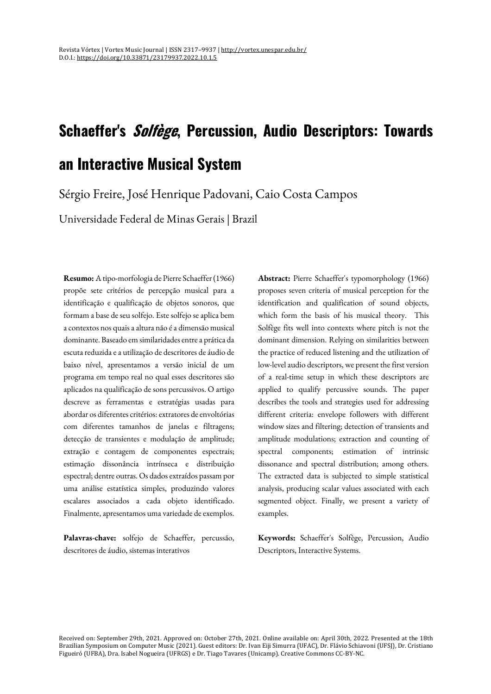# **Schaeffer's Solfège, Percussion, Audio Descriptors: Towards an Interactive Musical System**

Sérgio Freire, José Henrique Padovani, Caio Costa Campos

Universidade Federal de Minas Gerais | Brazil

**Resumo:** A tipo-morfologia de Pierre Schaeffer (1966) propõe sete critérios de percepção musical para a identificação e qualificação de objetos sonoros, que formam a base de seu solfejo. Este solfejo se aplica bem a contextos nos quais a altura não é a dimensão musical dominante. Baseado em similaridades entre a prática da escuta reduzida e a utilização de descritores de áudio de baixo nível, apresentamos a versão inicial de um programa em tempo real no qual esses descritores são aplicados na qualificação de sons percussivos. O artigo descreve as ferramentas e estratégias usadas para abordar os diferentes critérios: extratores de envoltórias com diferentes tamanhos de janelas e filtragens; detecção de transientes e modulação de amplitude; extração e contagem de componentes espectrais; estimação dissonância intrínseca e distribuição espectral; dentre outras. Os dados extraídos passam por uma análise estatística simples, produzindo valores escalares associados a cada objeto identificado. Finalmente, apresentamos uma variedade de exemplos.

**Palavras-chave:** solfejo de Schaeffer, percussão, descritores de áudio, sistemas interativos

**Abstract:** Pierre Schaeffer's typomorphology (1966) proposes seven criteria of musical perception for the identification and qualification of sound objects, which form the basis of his musical theory. This Solfège fits well into contexts where pitch is not the dominant dimension. Relying on similarities between the practice of reduced listening and the utilization of low-level audio descriptors, we present the first version of a real-time setup in which these descriptors are applied to qualify percussive sounds. The paper describes the tools and strategies used for addressing different criteria: envelope followers with different window sizes and filtering; detection of transients and amplitude modulations; extraction and counting of spectral components; estimation of intrinsic dissonance and spectral distribution; among others. The extracted data is subjected to simple statistical analysis, producing scalar values associated with each segmented object. Finally, we present a variety of examples.

**Keywords:** Schaeffer's Solfège, Percussion, Audio Descriptors, Interactive Systems.

Received on: September 29th, 2021. Approved on: October 27th, 2021. Online available on: April 30th, 2022. Presented at the 18th Brazilian Symposium on Computer Music (2021). Guest editors: Dr. Ivan Eiji Simurra (UFAC), Dr. Flávio Schiavoni (UFSJ), Dr. Cristiano Figueiró (UFBA), Dra. Isabel Nogueira (UFRGS) e Dr. Tiago Tavares (Unicamp). Creative Commons CC-BY-NC.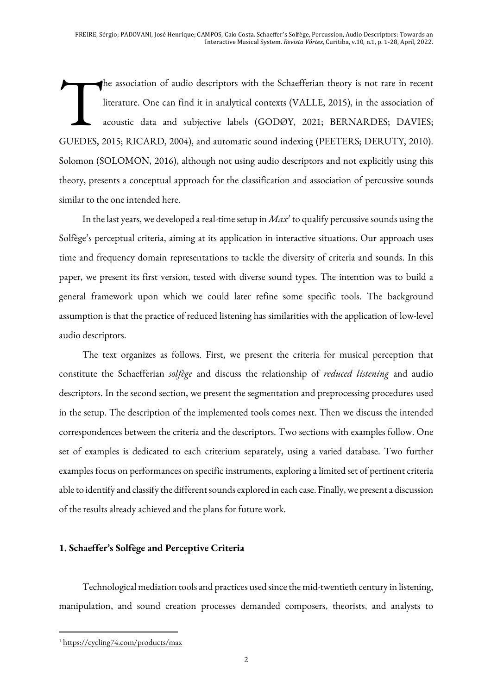he association of audio descriptors with the Schaefferian theory is not rare in recent literature. One can find it in analytical contexts (VALLE, 2015), in the association of acoustic data and subjective labels (GODØY, 2021; BERNARDES; DAVIES; GUEDES, 2015; RICARD, 2004), and automatic sound indexing (PEETERS; DERUTY, 2010). Solomon (SOLOMON, 2016), although not using audio descriptors and not explicitly using this theory, presents a conceptual approach for the classification and association of percussive sounds similar to the one intended here. T

In the last years, we developed a real-time setup in *Max1* to qualify percussive sounds using the Solfège's perceptual criteria, aiming at its application in interactive situations. Our approach uses time and frequency domain representations to tackle the diversity of criteria and sounds. In this paper, we present its first version, tested with diverse sound types. The intention was to build a general framework upon which we could later refine some specific tools. The background assumption is that the practice of reduced listening has similarities with the application of low-level audio descriptors.

The text organizes as follows. First, we present the criteria for musical perception that constitute the Schaefferian *solfège* and discuss the relationship of *reduced listening* and audio descriptors. In the second section, we present the segmentation and preprocessing procedures used in the setup. The description of the implemented tools comes next. Then we discuss the intended correspondences between the criteria and the descriptors. Two sections with examples follow. One set of examples is dedicated to each criterium separately, using a varied database. Two further examples focus on performances on specific instruments, exploring a limited set of pertinent criteria able to identify and classify the different sounds explored in each case. Finally, we present a discussion of the results already achieved and the plans for future work.

## **1. Schaeffer's Solfège and Perceptive Criteria**

Technological mediation tools and practices used since the mid-twentieth century in listening, manipulation, and sound creation processes demanded composers, theorists, and analysts to

<sup>1</sup> https://cycling74.com/products/max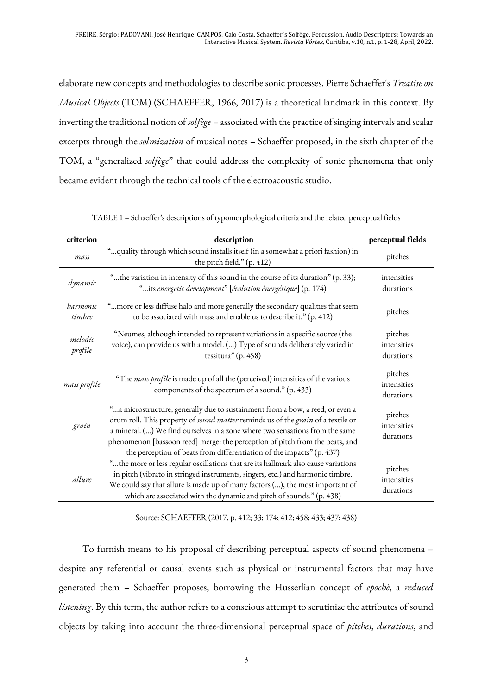elaborate new concepts and methodologies to describe sonic processes. Pierre Schaeffer's *Treatise on Musical Objects* (TOM) (SCHAEFFER, 1966, 2017) is a theoretical landmark in this context. By inverting the traditional notion of *solfège* – associated with the practice of singing intervals and scalar excerpts through the *solmization* of musical notes – Schaeffer proposed, in the sixth chapter of the TOM, a "generalized *solfège*" that could address the complexity of sonic phenomena that only became evident through the technical tools of the electroacoustic studio.

| criterion          | description                                                                                                                                                                                                                                                                                                                                                                                                | perceptual fields                   |
|--------------------|------------------------------------------------------------------------------------------------------------------------------------------------------------------------------------------------------------------------------------------------------------------------------------------------------------------------------------------------------------------------------------------------------------|-------------------------------------|
| mass               | " quality through which sound installs itself (in a somewhat a priori fashion) in<br>the pitch field." (p. 412)                                                                                                                                                                                                                                                                                            | pitches                             |
| dynamic            | "the variation in intensity of this sound in the course of its duration" (p. 33);<br>"its energetic development" [évolution énergétique] (p. 174)                                                                                                                                                                                                                                                          | intensities<br>durations            |
| harmonic<br>timbre | "more or less diffuse halo and more generally the secondary qualities that seem<br>to be associated with mass and enable us to describe it." (p. 412)                                                                                                                                                                                                                                                      | pitches                             |
| melodic<br>profile | "Neumes, although intended to represent variations in a specific source (the<br>voice), can provide us with a model. () Type of sounds deliberately varied in<br>tessitura" (p. 458)                                                                                                                                                                                                                       | pitches<br>intensities<br>durations |
| mass profile       | "The mass profile is made up of all the (perceived) intensities of the various<br>components of the spectrum of a sound." (p. 433)                                                                                                                                                                                                                                                                         | pitches<br>intensities<br>durations |
| grain              | "a microstructure, generally due to sustainment from a bow, a reed, or even a<br>drum roll. This property of sound matter reminds us of the grain of a textile or<br>a mineral. () We find ourselves in a zone where two sensations from the same<br>phenomenon [bassoon reed] merge: the perception of pitch from the beats, and<br>the perception of beats from differentiation of the impacts" (p. 437) | pitches<br>intensities<br>durations |
| allure             | "the more or less regular oscillations that are its hallmark also cause variations<br>in pitch (vibrato in stringed instruments, singers, etc.) and harmonic timbre.<br>We could say that allure is made up of many factors (), the most important of<br>which are associated with the dynamic and pitch of sounds." (p. 438)                                                                              | pitches<br>intensities<br>durations |

TABLE 1 – Schaeffer's descriptions of typomorphological criteria and the related perceptual fields

Source: SCHAEFFER (2017, p. 412; 33; 174; 412; 458; 433; 437; 438)

To furnish means to his proposal of describing perceptual aspects of sound phenomena – despite any referential or causal events such as physical or instrumental factors that may have generated them – Schaeffer proposes, borrowing the Husserlian concept of *epochè*, a *reduced listening*. By this term, the author refers to a conscious attempt to scrutinize the attributes of sound objects by taking into account the three-dimensional perceptual space of *pitches*, *durations*, and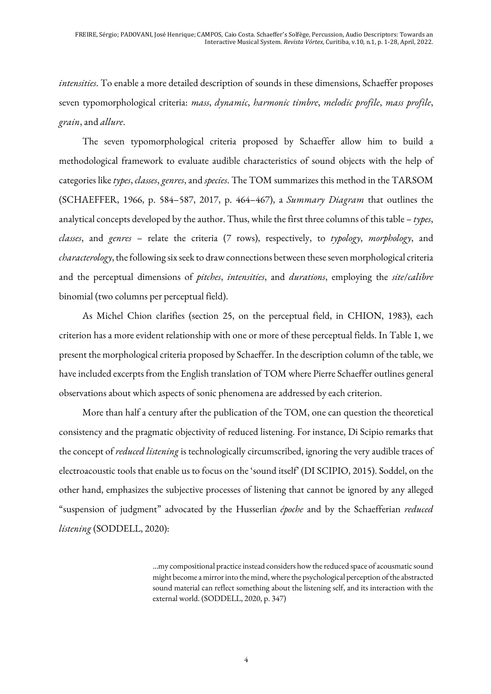*intensities*. To enable a more detailed description of sounds in these dimensions, Schaeffer proposes seven typomorphological criteria: *mass*, *dynamic*, *harmonic timbre*, *melodic profile*, *mass profile*, *grain*, and *allure*.

The seven typomorphological criteria proposed by Schaeffer allow him to build a methodological framework to evaluate audible characteristics of sound objects with the help of categories like *types*, *classes*, *genres*, and *species*. The TOM summarizes this method in the TARSOM (SCHAEFFER, 1966, p. 584–587, 2017, p. 464–467), a *Summary Diagram* that outlines the analytical concepts developed by the author. Thus, while the first three columns of this table – *types*, *classes*, and *genres* – relate the criteria (7 rows), respectively, to *typology*, *morphology*, and *characterology*, the following six seek to draw connections between these seven morphological criteria and the perceptual dimensions of *pitches*, *intensities*, and *durations*, employing the *site*/*calibre* binomial (two columns per perceptual field).

As Michel Chion clarifies (section 25, on the perceptual field, in CHION, 1983), each criterion has a more evident relationship with one or more of these perceptual fields. In Table 1, we present the morphological criteria proposed by Schaeffer. In the description column of the table, we have included excerpts from the English translation of TOM where Pierre Schaeffer outlines general observations about which aspects of sonic phenomena are addressed by each criterion.

More than half a century after the publication of the TOM, one can question the theoretical consistency and the pragmatic objectivity of reduced listening. For instance, Di Scipio remarks that the concept of *reduced listening* is technologically circumscribed, ignoring the very audible traces of electroacoustic tools that enable us to focus on the 'sound itself' (DI SCIPIO, 2015). Soddel, on the other hand, emphasizes the subjective processes of listening that cannot be ignored by any alleged "suspension of judgment" advocated by the Husserlian *époche* and by the Schaefferian *reduced listening* (SODDELL, 2020):

> …my compositional practice instead considers how the reduced space of acousmatic sound might become a mirror into the mind, where the psychological perception of the abstracted sound material can reflect something about the listening self, and its interaction with the external world. (SODDELL, 2020, p. 347)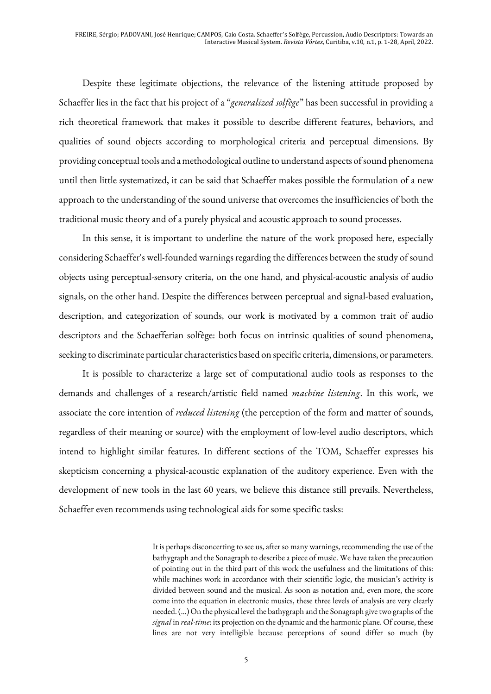Despite these legitimate objections, the relevance of the listening attitude proposed by Schaeffer lies in the fact that his project of a "*generalized solfège*" has been successful in providing a rich theoretical framework that makes it possible to describe different features, behaviors, and qualities of sound objects according to morphological criteria and perceptual dimensions. By providing conceptual tools and a methodological outline to understand aspects of sound phenomena until then little systematized, it can be said that Schaeffer makes possible the formulation of a new approach to the understanding of the sound universe that overcomes the insufficiencies of both the traditional music theory and of a purely physical and acoustic approach to sound processes.

In this sense, it is important to underline the nature of the work proposed here, especially considering Schaeffer's well-founded warnings regarding the differences between the study of sound objects using perceptual-sensory criteria, on the one hand, and physical-acoustic analysis of audio signals, on the other hand. Despite the differences between perceptual and signal-based evaluation, description, and categorization of sounds, our work is motivated by a common trait of audio descriptors and the Schaefferian solfège: both focus on intrinsic qualities of sound phenomena, seeking to discriminate particular characteristics based on specific criteria, dimensions, or parameters.

It is possible to characterize a large set of computational audio tools as responses to the demands and challenges of a research/artistic field named *machine listening*. In this work, we associate the core intention of *reduced listening* (the perception of the form and matter of sounds, regardless of their meaning or source) with the employment of low-level audio descriptors, which intend to highlight similar features. In different sections of the TOM, Schaeffer expresses his skepticism concerning a physical-acoustic explanation of the auditory experience. Even with the development of new tools in the last 60 years, we believe this distance still prevails. Nevertheless, Schaeffer even recommends using technological aids for some specific tasks:

> It is perhaps disconcerting to see us, after so many warnings, recommending the use of the bathygraph and the Sonagraph to describe a piece of music. We have taken the precaution of pointing out in the third part of this work the usefulness and the limitations of this: while machines work in accordance with their scientific logic, the musician's activity is divided between sound and the musical. As soon as notation and, even more, the score come into the equation in electronic musics, these three levels of analysis are very clearly needed. (...) On the physical level the bathygraph and the Sonagraph give two graphs of the *signal* in *real-time*: its projection on the dynamic and the harmonic plane. Of course, these lines are not very intelligible because perceptions of sound differ so much (by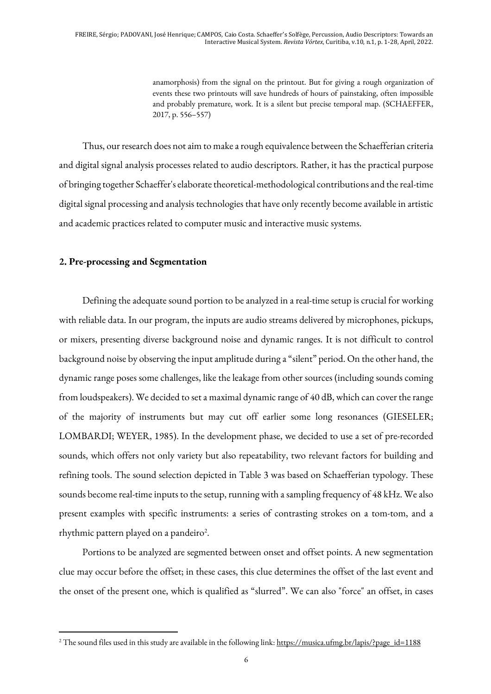anamorphosis) from the signal on the printout. But for giving a rough organization of events these two printouts will save hundreds of hours of painstaking, often impossible and probably premature, work. It is a silent but precise temporal map. (SCHAEFFER, 2017, p. 556–557)

Thus, our research does not aim to make a rough equivalence between the Schaefferian criteria and digital signal analysis processes related to audio descriptors. Rather, it has the practical purpose of bringing together Schaeffer's elaborate theoretical-methodological contributions and the real-time digital signal processing and analysis technologies that have only recently become available in artistic and academic practices related to computer music and interactive music systems.

### **2. Pre-processing and Segmentation**

Defining the adequate sound portion to be analyzed in a real-time setup is crucial for working with reliable data. In our program, the inputs are audio streams delivered by microphones, pickups, or mixers, presenting diverse background noise and dynamic ranges. It is not difficult to control background noise by observing the input amplitude during a "silent" period. On the other hand, the dynamic range poses some challenges, like the leakage from other sources (including sounds coming from loudspeakers). We decided to set a maximal dynamic range of 40 dB, which can cover the range of the majority of instruments but may cut off earlier some long resonances (GIESELER; LOMBARDI; WEYER, 1985). In the development phase, we decided to use a set of pre-recorded sounds, which offers not only variety but also repeatability, two relevant factors for building and refining tools. The sound selection depicted in Table 3 was based on Schaefferian typology. These sounds become real-time inputs to the setup, running with a sampling frequency of 48 kHz. We also present examples with specific instruments: a series of contrasting strokes on a tom-tom, and a rhythmic pattern played on a pandeiro<sup>2</sup>.

Portions to be analyzed are segmented between onset and offset points. A new segmentation clue may occur before the offset; in these cases, this clue determines the offset of the last event and the onset of the present one, which is qualified as "slurred". We can also "force" an offset, in cases

<sup>&</sup>lt;sup>2</sup> The sound files used in this study are available in the following link: https://musica.ufmg.br/lapis/?page\_id=1188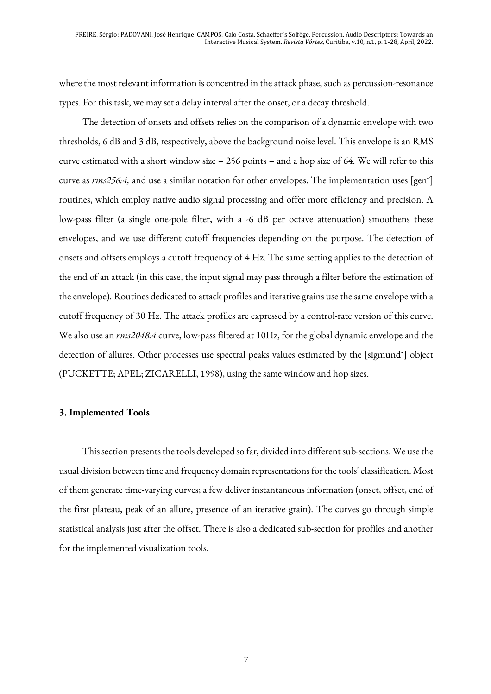where the most relevant information is concentred in the attack phase, such as percussion-resonance types. For this task, we may set a delay interval after the onset, or a decay threshold.

The detection of onsets and offsets relies on the comparison of a dynamic envelope with two thresholds, 6 dB and 3 dB, respectively, above the background noise level. This envelope is an RMS curve estimated with a short window size – 256 points – and a hop size of 64. We will refer to this curve as *rms256:4,* and use a similar notation for other envelopes. The implementation uses [gen˜] routines, which employ native audio signal processing and offer more efficiency and precision. A low-pass filter (a single one-pole filter, with a -6 dB per octave attenuation) smoothens these envelopes, and we use different cutoff frequencies depending on the purpose. The detection of onsets and offsets employs a cutoff frequency of 4 Hz. The same setting applies to the detection of the end of an attack (in this case, the input signal may pass through a filter before the estimation of the envelope). Routines dedicated to attack profiles and iterative grains use the same envelope with a cutoff frequency of 30 Hz. The attack profiles are expressed by a control-rate version of this curve. We also use an *rms2048:4* curve, low-pass filtered at 10Hz, for the global dynamic envelope and the detection of allures. Other processes use spectral peaks values estimated by the [sigmund˜] object (PUCKETTE; APEL; ZICARELLI, 1998), using the same window and hop sizes.

#### **3. Implemented Tools**

This section presents the tools developed so far, divided into different sub-sections. We use the usual division between time and frequency domain representations for the tools' classification. Most of them generate time-varying curves; a few deliver instantaneous information (onset, offset, end of the first plateau, peak of an allure, presence of an iterative grain). The curves go through simple statistical analysis just after the offset. There is also a dedicated sub-section for profiles and another for the implemented visualization tools.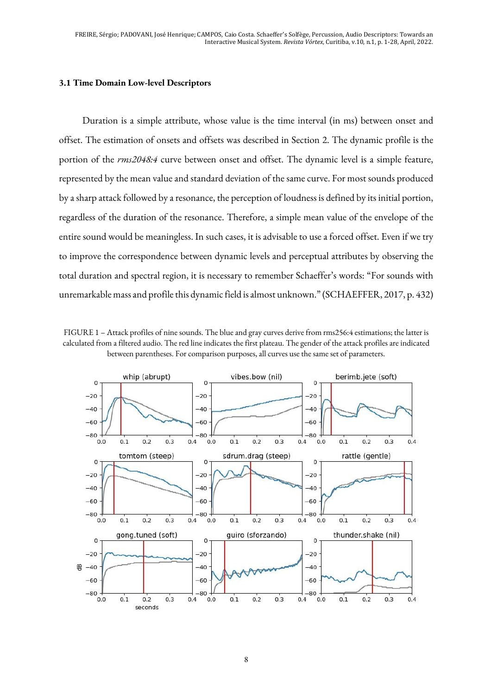#### **3.1 Time Domain Low-level Descriptors**

Duration is a simple attribute, whose value is the time interval (in ms) between onset and offset. The estimation of onsets and offsets was described in Section 2. The dynamic profile is the portion of the *rms2048:4* curve between onset and offset. The dynamic level is a simple feature, represented by the mean value and standard deviation of the same curve. For most sounds produced by a sharp attack followed by a resonance, the perception of loudness is defined by its initial portion, regardless of the duration of the resonance. Therefore, a simple mean value of the envelope of the entire sound would be meaningless. In such cases, it is advisable to use a forced offset. Even if we try to improve the correspondence between dynamic levels and perceptual attributes by observing the total duration and spectral region, it is necessary to remember Schaeffer's words: "For sounds with unremarkable mass and profile this dynamic field is almost unknown." (SCHAEFFER, 2017, p. 432)

FIGURE 1 – Attack profiles of nine sounds. The blue and gray curves derive from rms256:4 estimations; the latter is calculated from a filtered audio. The red line indicates the first plateau. The gender of the attack profiles are indicated between parentheses. For comparison purposes, all curves use the same set of parameters.

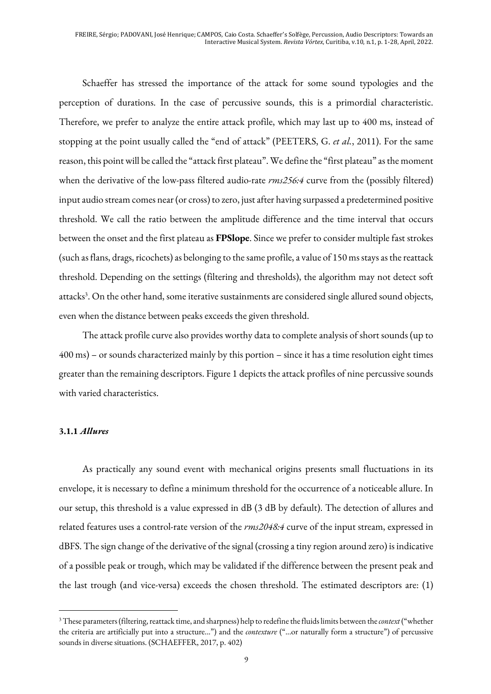Schaeffer has stressed the importance of the attack for some sound typologies and the perception of durations. In the case of percussive sounds, this is a primordial characteristic. Therefore, we prefer to analyze the entire attack profile, which may last up to 400 ms, instead of stopping at the point usually called the "end of attack" (PEETERS, G. *et al.*, 2011). For the same reason, this point will be called the "attack first plateau". We define the "first plateau" as the moment when the derivative of the low-pass filtered audio-rate *rms256:4* curve from the (possibly filtered) input audio stream comes near (or cross) to zero, just after having surpassed a predetermined positive threshold. We call the ratio between the amplitude difference and the time interval that occurs between the onset and the first plateau as **FPSlope**. Since we prefer to consider multiple fast strokes (such as flans, drags, ricochets) as belonging to the same profile, a value of 150 ms stays as the reattack threshold. Depending on the settings (filtering and thresholds), the algorithm may not detect soft attacks<sup>3</sup>. On the other hand, some iterative sustainments are considered single allured sound objects, even when the distance between peaks exceeds the given threshold.

The attack profile curve also provides worthy data to complete analysis of short sounds (up to 400 ms) – or sounds characterized mainly by this portion – since it has a time resolution eight times greater than the remaining descriptors. Figure 1 depicts the attack profiles of nine percussive sounds with varied characteristics.

#### **3.1.1** *Allures*

As practically any sound event with mechanical origins presents small fluctuations in its envelope, it is necessary to define a minimum threshold for the occurrence of a noticeable allure. In our setup, this threshold is a value expressed in dB (3 dB by default). The detection of allures and related features uses a control-rate version of the *rms2048:4* curve of the input stream, expressed in dBFS. The sign change of the derivative of the signal (crossing a tiny region around zero) is indicative of a possible peak or trough, which may be validated if the difference between the present peak and the last trough (and vice-versa) exceeds the chosen threshold. The estimated descriptors are: (1)

<sup>3</sup>These parameters (filtering, reattack time, and sharpness) help to redefine the fluids limits between the *context*("whether the criteria are artificially put into a structure...") and the *contexture* ("...or naturally form a structure") of percussive sounds in diverse situations. (SCHAEFFER, 2017, p. 402)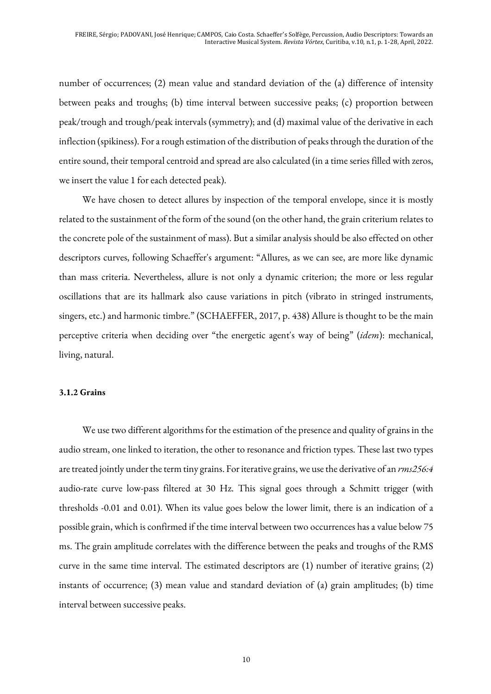number of occurrences; (2) mean value and standard deviation of the (a) difference of intensity between peaks and troughs; (b) time interval between successive peaks; (c) proportion between peak/trough and trough/peak intervals (symmetry); and (d) maximal value of the derivative in each inflection (spikiness). For a rough estimation of the distribution of peaks through the duration of the entire sound, their temporal centroid and spread are also calculated (in a time series filled with zeros, we insert the value 1 for each detected peak).

We have chosen to detect allures by inspection of the temporal envelope, since it is mostly related to the sustainment of the form of the sound (on the other hand, the grain criterium relates to the concrete pole of the sustainment of mass). But a similar analysis should be also effected on other descriptors curves, following Schaeffer's argument: "Allures, as we can see, are more like dynamic than mass criteria. Nevertheless, allure is not only a dynamic criterion; the more or less regular oscillations that are its hallmark also cause variations in pitch (vibrato in stringed instruments, singers, etc.) and harmonic timbre." (SCHAEFFER, 2017, p. 438) Allure is thought to be the main perceptive criteria when deciding over "the energetic agent's way of being" (*idem*): mechanical, living, natural.

#### **3.1.2 Grains**

We use two different algorithms for the estimation of the presence and quality of grains in the audio stream, one linked to iteration, the other to resonance and friction types. These last two types are treated jointly under the term tiny grains. For iterative grains, we use the derivative of an *rms256:4* audio-rate curve low-pass filtered at 30 Hz. This signal goes through a Schmitt trigger (with thresholds -0.01 and 0.01). When its value goes below the lower limit, there is an indication of a possible grain, which is confirmed if the time interval between two occurrences has a value below 75 ms. The grain amplitude correlates with the difference between the peaks and troughs of the RMS curve in the same time interval. The estimated descriptors are (1) number of iterative grains; (2) instants of occurrence; (3) mean value and standard deviation of (a) grain amplitudes; (b) time interval between successive peaks.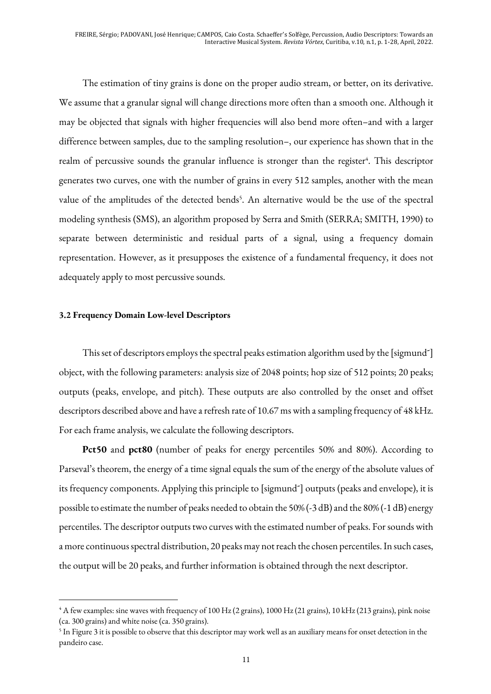The estimation of tiny grains is done on the proper audio stream, or better, on its derivative. We assume that a granular signal will change directions more often than a smooth one. Although it may be objected that signals with higher frequencies will also bend more often–and with a larger difference between samples, due to the sampling resolution–, our experience has shown that in the realm of percussive sounds the granular influence is stronger than the register<sup>4</sup>. This descriptor generates two curves, one with the number of grains in every 512 samples, another with the mean value of the amplitudes of the detected bends<sup>5</sup>. An alternative would be the use of the spectral modeling synthesis (SMS), an algorithm proposed by Serra and Smith (SERRA; SMITH, 1990) to separate between deterministic and residual parts of a signal, using a frequency domain representation. However, as it presupposes the existence of a fundamental frequency, it does not adequately apply to most percussive sounds.

#### **3.2 Frequency Domain Low-level Descriptors**

This set of descriptors employs the spectral peaks estimation algorithm used by the [sigmund<sup>~</sup>] object, with the following parameters: analysis size of 2048 points; hop size of 512 points; 20 peaks; outputs (peaks, envelope, and pitch). These outputs are also controlled by the onset and offset descriptors described above and have a refresh rate of 10.67 ms with a sampling frequency of 48 kHz. For each frame analysis, we calculate the following descriptors.

**Pct50** and **pct80** (number of peaks for energy percentiles 50% and 80%). According to Parseval's theorem, the energy of a time signal equals the sum of the energy of the absolute values of its frequency components. Applying this principle to [sigmund˜] outputs (peaks and envelope), it is possible to estimate the number of peaks needed to obtain the 50% (-3 dB) and the 80% (-1 dB) energy percentiles. The descriptor outputs two curves with the estimated number of peaks. For sounds with a more continuous spectral distribution, 20 peaks may not reach the chosen percentiles. In such cases, the output will be 20 peaks, and further information is obtained through the next descriptor.

<sup>4</sup> A few examples: sine waves with frequency of 100 Hz (2 grains), 1000 Hz (21 grains), 10 kHz (213 grains), pink noise (ca. 300 grains) and white noise (ca. 350 grains).

<sup>&</sup>lt;sup>5</sup> In Figure 3 it is possible to observe that this descriptor may work well as an auxiliary means for onset detection in the pandeiro case.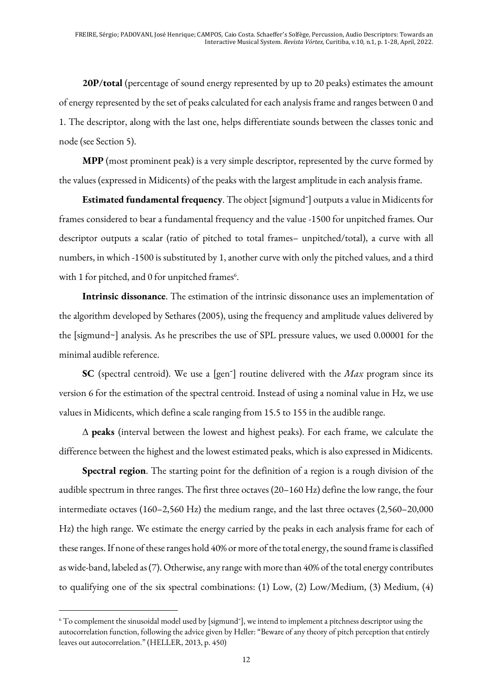**20P/total** (percentage of sound energy represented by up to 20 peaks) estimates the amount of energy represented by the set of peaks calculated for each analysis frame and ranges between 0 and 1. The descriptor, along with the last one, helps differentiate sounds between the classes tonic and node (see Section 5).

**MPP** (most prominent peak) is a very simple descriptor, represented by the curve formed by the values (expressed in Midicents) of the peaks with the largest amplitude in each analysis frame.

**Estimated fundamental frequency**. The object [sigmund˜] outputs a value in Midicents for frames considered to bear a fundamental frequency and the value -1500 for unpitched frames. Our descriptor outputs a scalar (ratio of pitched to total frames– unpitched/total), a curve with all numbers, in which -1500 is substituted by 1, another curve with only the pitched values, and a third with 1 for pitched, and 0 for unpitched frames<sup>6</sup>.

**Intrinsic dissonance**. The estimation of the intrinsic dissonance uses an implementation of the algorithm developed by Sethares (2005), using the frequency and amplitude values delivered by the [sigmund~] analysis. As he prescribes the use of SPL pressure values, we used 0.00001 for the minimal audible reference.

**SC** (spectral centroid). We use a [gen<sup>~</sup>] routine delivered with the *Max* program since its version 6 for the estimation of the spectral centroid. Instead of using a nominal value in Hz, we use values in Midicents, which define a scale ranging from 15.5 to 155 in the audible range.

 $\Delta$  **peaks** (interval between the lowest and highest peaks). For each frame, we calculate the difference between the highest and the lowest estimated peaks, which is also expressed in Midicents.

**Spectral region**. The starting point for the definition of a region is a rough division of the audible spectrum in three ranges. The first three octaves (20–160 Hz) define the low range, the four intermediate octaves (160–2,560 Hz) the medium range, and the last three octaves (2,560–20,000 Hz) the high range. We estimate the energy carried by the peaks in each analysis frame for each of these ranges. If none of these ranges hold 40% or more of the total energy, the sound frame is classified as wide-band, labeled as (7). Otherwise, any range with more than 40% of the total energy contributes to qualifying one of the six spectral combinations: (1) Low, (2) Low/Medium, (3) Medium, (4)

<sup>6</sup> To complement the sinusoidal model used by [sigmund˜], we intend to implement a pitchness descriptor using the autocorrelation function, following the advice given by Heller: "Beware of any theory of pitch perception that entirely leaves out autocorrelation." (HELLER, 2013, p. 450)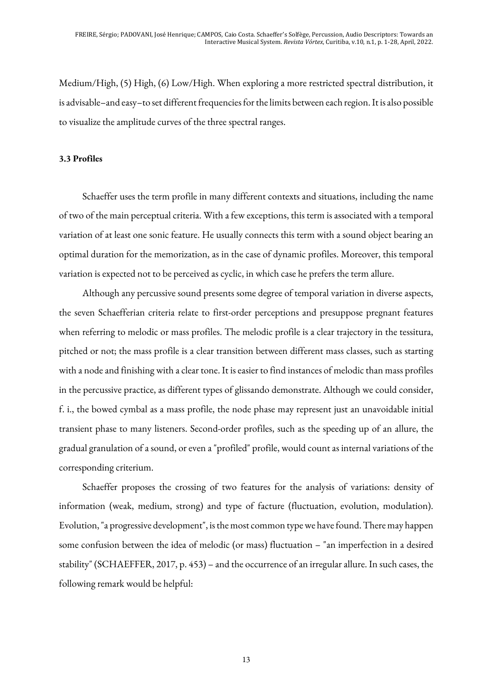Medium/High, (5) High, (6) Low/High. When exploring a more restricted spectral distribution, it is advisable–and easy–to set different frequencies for the limits between each region. It is also possible to visualize the amplitude curves of the three spectral ranges.

#### **3.3 Profiles**

Schaeffer uses the term profile in many different contexts and situations, including the name of two of the main perceptual criteria. With a few exceptions, this term is associated with a temporal variation of at least one sonic feature. He usually connects this term with a sound object bearing an optimal duration for the memorization, as in the case of dynamic profiles. Moreover, this temporal variation is expected not to be perceived as cyclic, in which case he prefers the term allure.

Although any percussive sound presents some degree of temporal variation in diverse aspects, the seven Schaefferian criteria relate to first-order perceptions and presuppose pregnant features when referring to melodic or mass profiles. The melodic profile is a clear trajectory in the tessitura, pitched or not; the mass profile is a clear transition between different mass classes, such as starting with a node and finishing with a clear tone. It is easier to find instances of melodic than mass profiles in the percussive practice, as different types of glissando demonstrate. Although we could consider, f. i., the bowed cymbal as a mass profile, the node phase may represent just an unavoidable initial transient phase to many listeners. Second-order profiles, such as the speeding up of an allure, the gradual granulation of a sound, or even a "profiled" profile, would count as internal variations of the corresponding criterium.

Schaeffer proposes the crossing of two features for the analysis of variations: density of information (weak, medium, strong) and type of facture (fluctuation, evolution, modulation). Evolution, "a progressive development", is the most common type we have found. There may happen some confusion between the idea of melodic (or mass) fluctuation – "an imperfection in a desired stability" (SCHAEFFER, 2017, p. 453) – and the occurrence of an irregular allure. In such cases, the following remark would be helpful: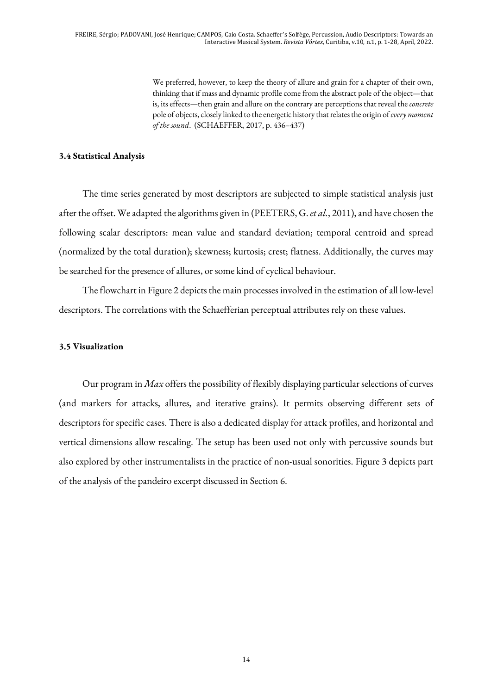We preferred, however, to keep the theory of allure and grain for a chapter of their own, thinking that if mass and dynamic profile come from the abstract pole of the object—that is, its effects—then grain and allure on the contrary are perceptions that reveal the *concrete* pole of objects, closely linked to the energetic history that relates the origin of *every moment of the sound*. (SCHAEFFER, 2017, p. 436–437)

#### **3.4 Statistical Analysis**

The time series generated by most descriptors are subjected to simple statistical analysis just after the offset. We adapted the algorithms given in (PEETERS, G. *et al.*, 2011), and have chosen the following scalar descriptors: mean value and standard deviation; temporal centroid and spread (normalized by the total duration); skewness; kurtosis; crest; flatness. Additionally, the curves may be searched for the presence of allures, or some kind of cyclical behaviour.

The flowchart in Figure 2 depicts the main processes involved in the estimation of all low-level descriptors. The correlations with the Schaefferian perceptual attributes rely on these values.

#### **3.5 Visualization**

Our program in *Max* offers the possibility of flexibly displaying particular selections of curves (and markers for attacks, allures, and iterative grains). It permits observing different sets of descriptors for specific cases. There is also a dedicated display for attack profiles, and horizontal and vertical dimensions allow rescaling. The setup has been used not only with percussive sounds but also explored by other instrumentalists in the practice of non-usual sonorities. Figure 3 depicts part of the analysis of the pandeiro excerpt discussed in Section 6.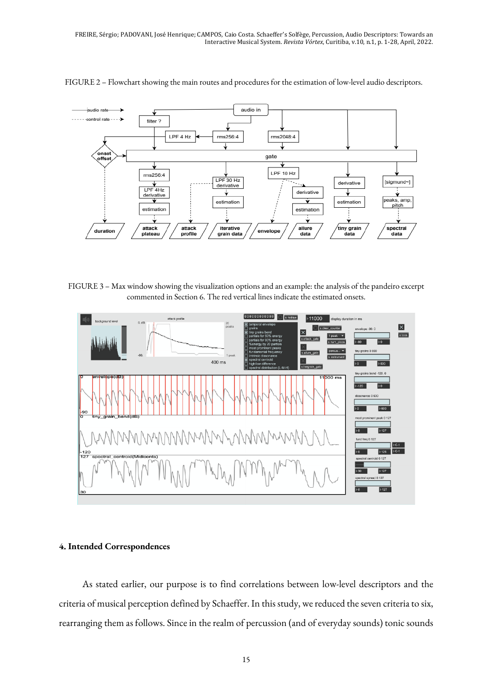

FIGURE 2 – Flowchart showing the main routes and procedures for the estimation of low-level audio descriptors.

FIGURE 3 – Max window showing the visualization options and an example: the analysis of the pandeiro excerpt commented in Section 6. The red vertical lines indicate the estimated onsets.



#### **4. Intended Correspondences**

As stated earlier, our purpose is to find correlations between low-level descriptors and the criteria of musical perception defined by Schaeffer. In this study, we reduced the seven criteria to six, rearranging them as follows. Since in the realm of percussion (and of everyday sounds) tonic sounds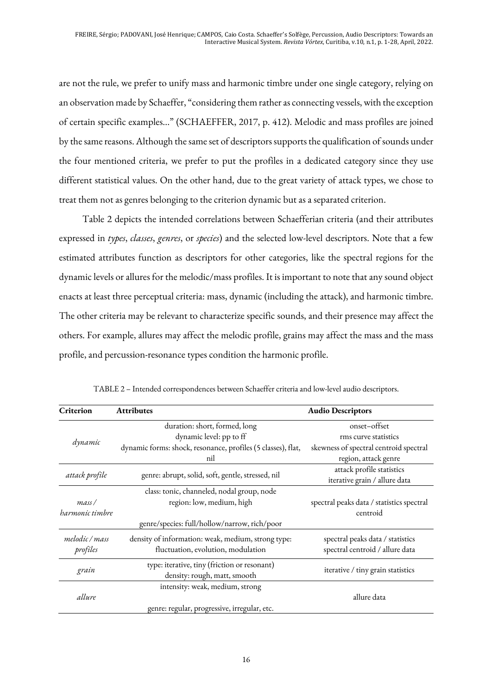are not the rule, we prefer to unify mass and harmonic timbre under one single category, relying on an observation made by Schaeffer, "considering them rather as connecting vessels, with the exception of certain specific examples..." (SCHAEFFER, 2017, p. 412). Melodic and mass profiles are joined by the same reasons. Although the same set of descriptors supports the qualification of sounds under the four mentioned criteria, we prefer to put the profiles in a dedicated category since they use different statistical values. On the other hand, due to the great variety of attack types, we chose to treat them not as genres belonging to the criterion dynamic but as a separated criterion.

Table 2 depicts the intended correlations between Schaefferian criteria (and their attributes expressed in *types*, *classes*, *genres*, or *species*) and the selected low-level descriptors. Note that a few estimated attributes function as descriptors for other categories, like the spectral regions for the dynamic levels or allures for the melodic/mass profiles. It is important to note that any sound object enacts at least three perceptual criteria: mass, dynamic (including the attack), and harmonic timbre. The other criteria may be relevant to characterize specific sounds, and their presence may affect the others. For example, allures may affect the melodic profile, grains may affect the mass and the mass profile, and percussion-resonance types condition the harmonic profile.

| Criterion       | <b>Attributes</b>                                            | <b>Audio Descriptors</b>                  |  |  |
|-----------------|--------------------------------------------------------------|-------------------------------------------|--|--|
|                 | duration: short, formed, long                                | onset-offset                              |  |  |
|                 | dynamic level: pp to ff                                      | rms curve statistics                      |  |  |
| dynamic         | dynamic forms: shock, resonance, profiles (5 classes), flat, | skewness of spectral centroid spectral    |  |  |
|                 | nil                                                          | region, attack genre                      |  |  |
|                 |                                                              | attack profile statistics                 |  |  |
| attack profile  | genre: abrupt, solid, soft, gentle, stressed, nil            | iterative grain / allure data             |  |  |
|                 | class: tonic, channeled, nodal group, node                   |                                           |  |  |
| mass/           | region: low, medium, high                                    | spectral peaks data / statistics spectral |  |  |
| harmonic timbre |                                                              | centroid                                  |  |  |
|                 | genre/species: full/hollow/narrow, rich/poor                 |                                           |  |  |
| melodic / mass  | density of information: weak, medium, strong type:           | spectral peaks data / statistics          |  |  |
| profiles        | fluctuation, evolution, modulation                           | spectral centroid / allure data           |  |  |
|                 | type: iterative, tiny (friction or resonant)                 |                                           |  |  |
| grain           | density: rough, matt, smooth                                 | iterative / tiny grain statistics         |  |  |
|                 | intensity: weak, medium, strong                              |                                           |  |  |
| allure          |                                                              | allure data                               |  |  |
|                 | genre: regular, progressive, irregular, etc.                 |                                           |  |  |

TABLE 2 – Intended correspondences between Schaeffer criteria and low-level audio descriptors.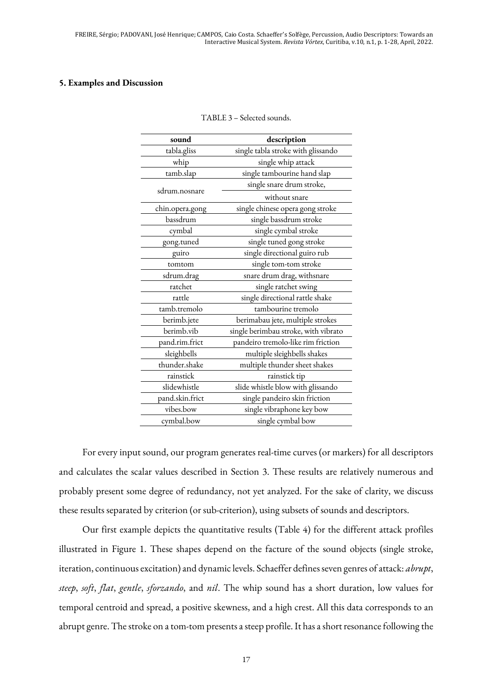#### **5. Examples and Discussion**

| description                          |  |  |  |  |  |
|--------------------------------------|--|--|--|--|--|
| single tabla stroke with glissando   |  |  |  |  |  |
| single whip attack                   |  |  |  |  |  |
| single tambourine hand slap          |  |  |  |  |  |
| single snare drum stroke,            |  |  |  |  |  |
| without snare                        |  |  |  |  |  |
| single chinese opera gong stroke     |  |  |  |  |  |
| single bassdrum stroke               |  |  |  |  |  |
| single cymbal stroke                 |  |  |  |  |  |
| single tuned gong stroke             |  |  |  |  |  |
| single directional guiro rub         |  |  |  |  |  |
| single tom-tom stroke                |  |  |  |  |  |
| snare drum drag, withsnare           |  |  |  |  |  |
| single ratchet swing                 |  |  |  |  |  |
| single directional rattle shake      |  |  |  |  |  |
| tambourine tremolo                   |  |  |  |  |  |
| berimabau jete, multiple strokes     |  |  |  |  |  |
| single berimbau stroke, with vibrato |  |  |  |  |  |
| pandeiro tremolo-like rim friction   |  |  |  |  |  |
| multiple sleighbells shakes          |  |  |  |  |  |
| multiple thunder sheet shakes        |  |  |  |  |  |
| rainstick tip                        |  |  |  |  |  |
| slide whistle blow with glissando    |  |  |  |  |  |
| single pandeiro skin friction        |  |  |  |  |  |
| single vibraphone key bow            |  |  |  |  |  |
| single cymbal bow                    |  |  |  |  |  |
|                                      |  |  |  |  |  |

TABLE 3 – Selected sounds.

For every input sound, our program generates real-time curves (or markers) for all descriptors and calculates the scalar values described in Section 3. These results are relatively numerous and probably present some degree of redundancy, not yet analyzed. For the sake of clarity, we discuss these results separated by criterion (or sub-criterion), using subsets of sounds and descriptors.

Our first example depicts the quantitative results (Table 4) for the different attack profiles illustrated in Figure 1. These shapes depend on the facture of the sound objects (single stroke, iteration, continuous excitation) and dynamic levels. Schaeffer defines seven genres of attack: *abrupt*, *steep*, *soft*, *flat*, *gentle*, *sforzando*, and *nil*. The whip sound has a short duration, low values for temporal centroid and spread, a positive skewness, and a high crest. All this data corresponds to an abrupt genre. The stroke on a tom-tom presents asteep profile. It has a short resonance following the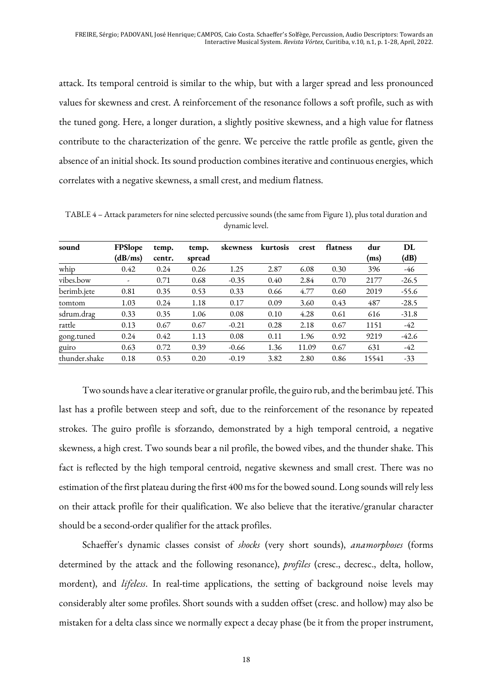attack. Its temporal centroid is similar to the whip, but with a larger spread and less pronounced values for skewness and crest. A reinforcement of the resonance follows a soft profile, such as with the tuned gong. Here, a longer duration, a slightly positive skewness, and a high value for flatness contribute to the characterization of the genre. We perceive the rattle profile as gentle, given the absence of an initial shock. Its sound production combines iterative and continuous energies, which correlates with a negative skewness, a small crest, and medium flatness.

TABLE 4 – Attack parameters for nine selected percussive sounds (the same from Figure 1), plus total duration and dynamic level.

| sound         | FPSlope | temp.  | temp.  | skewness | kurtosis | crest | flatness | dur   | DL      |
|---------------|---------|--------|--------|----------|----------|-------|----------|-------|---------|
|               | (dB/ms) | centr. | spread |          |          |       |          | (ms)  | (dB)    |
| whip          | 0.42    | 0.24   | 0.26   | 1.25     | 2.87     | 6.08  | 0.30     | 396   | -46     |
| vibes.bow     | -       | 0.71   | 0.68   | $-0.35$  | 0.40     | 2.84  | 0.70     | 2177  | $-26.5$ |
| berimb.jete   | 0.81    | 0.35   | 0.53   | 0.33     | 0.66     | 4.77  | 0.60     | 2019  | $-55.6$ |
| tomtom        | 1.03    | 0.24   | 1.18   | 0.17     | 0.09     | 3.60  | 0.43     | 487   | $-28.5$ |
| sdrum.drag    | 0.33    | 0.35   | 1.06   | 0.08     | 0.10     | 4.28  | 0.61     | 616   | $-31.8$ |
| rattle        | 0.13    | 0.67   | 0.67   | $-0.21$  | 0.28     | 2.18  | 0.67     | 1151  | $-42$   |
| gong.tuned    | 0.24    | 0.42   | 1.13   | 0.08     | 0.11     | 1.96  | 0.92     | 9219  | $-42.6$ |
| guiro         | 0.63    | 0.72   | 0.39   | $-0.66$  | 1.36     | 11.09 | 0.67     | 631   | $-42$   |
| thunder.shake | 0.18    | 0.53   | 0.20   | $-0.19$  | 3.82     | 2.80  | 0.86     | 15541 | $-33$   |

Two sounds have a clear iterative or granular profile, the guiro rub, and the berimbau jeté. This last has a profile between steep and soft, due to the reinforcement of the resonance by repeated strokes. The guiro profile is sforzando, demonstrated by a high temporal centroid, a negative skewness, a high crest. Two sounds bear a nil profile, the bowed vibes, and the thunder shake. This fact is reflected by the high temporal centroid, negative skewness and small crest. There was no estimation of the first plateau during the first 400 ms for the bowed sound. Long sounds will rely less on their attack profile for their qualification. We also believe that the iterative/granular character should be a second-order qualifier for the attack profiles.

Schaeffer's dynamic classes consist of *shocks* (very short sounds), *anamorphoses* (forms determined by the attack and the following resonance), *profiles* (cresc., decresc., delta, hollow, mordent), and *lifeless*. In real-time applications, the setting of background noise levels may considerably alter some profiles. Short sounds with a sudden offset (cresc. and hollow) may also be mistaken for a delta class since we normally expect a decay phase (be it from the proper instrument,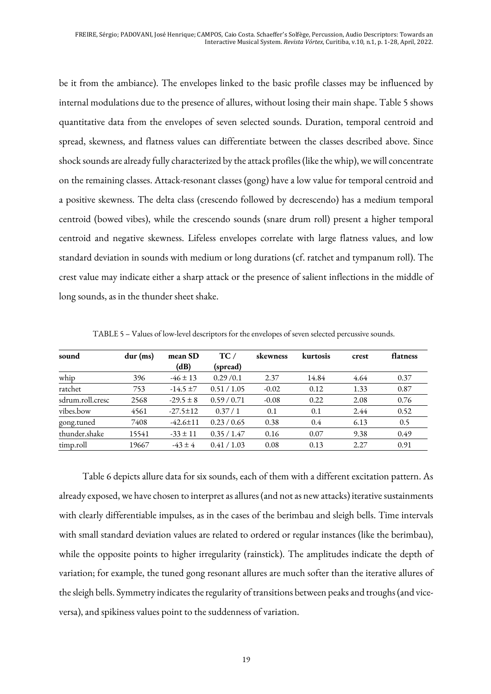be it from the ambiance). The envelopes linked to the basic profile classes may be influenced by internal modulations due to the presence of allures, without losing their main shape. Table 5 shows quantitative data from the envelopes of seven selected sounds. Duration, temporal centroid and spread, skewness, and flatness values can differentiate between the classes described above. Since shock sounds are already fully characterized by the attack profiles (like the whip), we will concentrate on the remaining classes. Attack-resonant classes (gong) have a low value for temporal centroid and a positive skewness. The delta class (crescendo followed by decrescendo) has a medium temporal centroid (bowed vibes), while the crescendo sounds (snare drum roll) present a higher temporal centroid and negative skewness. Lifeless envelopes correlate with large flatness values, and low standard deviation in sounds with medium or long durations (cf. ratchet and tympanum roll). The crest value may indicate either a sharp attack or the presence of salient inflections in the middle of long sounds, as in the thunder sheet shake.

| sound            | $dur$ (ms) | mean SD        | $\mathbf{TC}$ / | skewness | kurtosis      | crest | flatness |
|------------------|------------|----------------|-----------------|----------|---------------|-------|----------|
|                  |            | (dB)           | (spread)        |          |               |       |          |
| whip             | 396        | $-46 \pm 13$   | 0.29/0.1        | 2.37     | 14.84         | 4.64  | 0.37     |
| ratchet          | 753        | $-14.5 \pm 7$  | 0.51 / 1.05     | $-0.02$  | 0.12          | 1.33  | 0.87     |
| sdrum.roll.cresc | 2568       | $-29.5 \pm 8$  | 0.59/0.71       | $-0.08$  | 0.22          | 2.08  | 0.76     |
| vibes.bow        | 4561       | $-27.5 \pm 12$ | 0.37/1          | 0.1      | 0.1           | 2.44  | 0.52     |
| gong.tuned       | 7408       | $-42.6 \pm 11$ | 0.23/0.65       | 0.38     | $0.4^{\circ}$ | 6.13  | 0.5      |
| thunder.shake    | 15541      | $-33 \pm 11$   | 0.35/1.47       | 0.16     | 0.07          | 9.38  | 0.49     |
| timp.roll        | 19667      | $-43 \pm 4$    | 0.41 / 1.03     | 0.08     | 0.13          | 2.27  | 0.91     |

TABLE 5 – Values of low-level descriptors for the envelopes of seven selected percussive sounds.

Table 6 depicts allure data for six sounds, each of them with a different excitation pattern. As already exposed, we have chosen to interpret as allures (and not as new attacks) iterative sustainments with clearly differentiable impulses, as in the cases of the berimbau and sleigh bells. Time intervals with small standard deviation values are related to ordered or regular instances (like the berimbau), while the opposite points to higher irregularity (rainstick). The amplitudes indicate the depth of variation; for example, the tuned gong resonant allures are much softer than the iterative allures of the sleigh bells. Symmetry indicates the regularity of transitions between peaks and troughs (and viceversa), and spikiness values point to the suddenness of variation.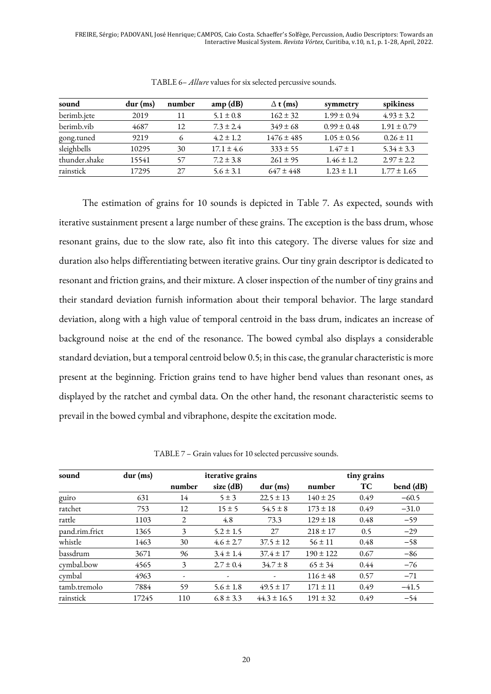FREIRE, Sérgio; PADOVANI, José Henrique; CAMPOS, Caio Costa. Schaeffer's Solfège, Percussion, Audio Descriptors: Towards an Interactive Musical System. *Revista Vórtex*, Curitiba, v.10, n.1, p. 1-28, April, 2022.

| sound         | $dur$ (ms) | number | amp(dB)        | $\Delta$ t (ms) | symmetry        | spikiness       |
|---------------|------------|--------|----------------|-----------------|-----------------|-----------------|
| berimb.jete   | 2019       | 11     | $5.1 \pm 0.8$  | $162 \pm 32$    | $1.99 \pm 0.94$ | $4.93 \pm 3.2$  |
| berimb.vib    | 4687       | 12     | $7.3 \pm 2.4$  | $349 \pm 68$    | $0.99 \pm 0.48$ | $1.91 \pm 0.79$ |
| gong.tuned    | 9219       | 6      | $4.2 \pm 1.2$  | $1476 \pm 485$  | $1.05 \pm 0.56$ | $0.26 \pm 11$   |
| sleighbells   | 10295      | 30     | $17.1 \pm 4.6$ | $333 \pm 55$    | $1.47 \pm 1$    | $5.34 \pm 3.3$  |
| thunder.shake | 15541      | 57     | $7.2 \pm 3.8$  | $261 \pm 95$    | $1.46 \pm 1.2$  | $2.97 \pm 2.2$  |
| rainstick     | 17295      | 27     | $5.6 \pm 3.1$  | $647 \pm 448$   | $1.23 \pm 1.1$  | $1.77 \pm 1.65$ |

TABLE 6– *Allure* values for six selected percussive sounds.

The estimation of grains for 10 sounds is depicted in Table 7. As expected, sounds with iterative sustainment present a large number of these grains. The exception is the bass drum, whose resonant grains, due to the slow rate, also fit into this category. The diverse values for size and duration also helps differentiating between iterative grains. Our tiny grain descriptor is dedicated to resonant and friction grains, and their mixture. A closer inspection of the number of tiny grains and their standard deviation furnish information about their temporal behavior. The large standard deviation, along with a high value of temporal centroid in the bass drum, indicates an increase of background noise at the end of the resonance. The bowed cymbal also displays a considerable standard deviation, but a temporal centroid below 0.5; in this case, the granular characteristic is more present at the beginning. Friction grains tend to have higher bend values than resonant ones, as displayed by the ratchet and cymbal data. On the other hand, the resonant characteristic seems to prevail in the bowed cymbal and vibraphone, despite the excitation mode.

| sound          | $dur$ (ms) |        | iterative grains         |                 | tiny grains   |      |           |  |
|----------------|------------|--------|--------------------------|-----------------|---------------|------|-----------|--|
|                |            | number | size $(dB)$              | $dur$ (ms)      | number        | TC   | bend (dB) |  |
| guiro          | 631        | 14     | $5 \pm 3$                | $22.5 \pm 13$   | $140 \pm 25$  | 0.49 | $-60.5$   |  |
| ratchet        | 753        | 12     | $15 \pm 5$               | $54.5 \pm 8$    | $173 \pm 18$  | 0.49 | $-31.0$   |  |
| rattle         | 1103       | 2      | 4.8                      | 73.3            | $129 \pm 18$  | 0.48 | $-59$     |  |
| pand.rim.frict | 1365       | 3      | $5.2 \pm 1.5$            | 27              | $218 \pm 17$  | 0.5  | $-29$     |  |
| whistle        | 1463       | 30     | $4.6 \pm 2.7$            | $37.5 \pm 12$   | $56 \pm 11$   | 0.48 | $-58$     |  |
| bassdrum       | 3671       | 96     | $3.4 \pm 1.4$            | $37.4 \pm 17$   | $190 \pm 122$ | 0.67 | $-86$     |  |
| cymbal.bow     | 4565       | 3      | $2.7 \pm 0.4$            | $34.7 \pm 8$    | $65 \pm 34$   | 0.44 | $-76$     |  |
| cymbal         | 4963       | ٠      | $\overline{\phantom{a}}$ | ۰               | $116 \pm 48$  | 0.57 | $-71$     |  |
| tamb.tremolo   | 7884       | 59     | 5.6 $\pm$ 1.8            | $49.5 \pm 17$   | $171 \pm 11$  | 0.49 | $-41.5$   |  |
| rainstick      | 17245      | 110    | $6.8 \pm 3.3$            | $44.3 \pm 16.5$ | $191 \pm 32$  | 0.49 | $-54$     |  |

TABLE 7 – Grain values for 10 selected percussive sounds.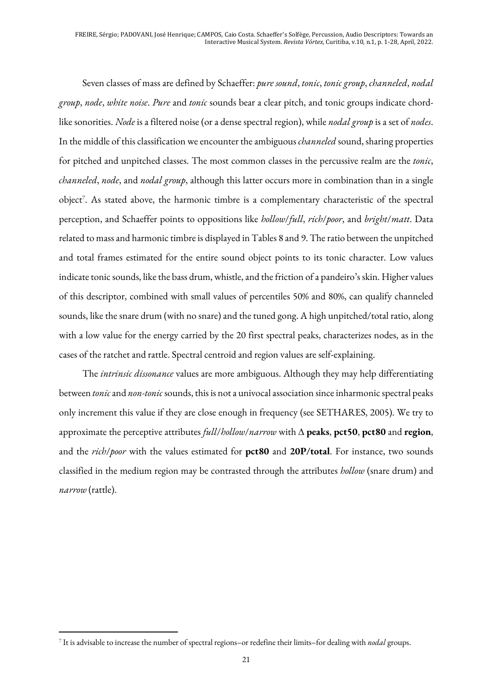Seven classes of mass are defined by Schaeffer: *pure sound*, *tonic*, *tonic group*, *channeled*, *nodal group*, *node*, *white noise*. *Pure* and *tonic* sounds bear a clear pitch, and tonic groups indicate chordlike sonorities. *Node* is a filtered noise (or a dense spectral region), while *nodal group* is a set of *nodes*. In the middle of this classification we encounter the ambiguous *channeled* sound, sharing properties for pitched and unpitched classes. The most common classes in the percussive realm are the *tonic*, *channeled*, *node*, and *nodal group*, although this latter occurs more in combination than in a single object<sup>7</sup>. As stated above, the harmonic timbre is a complementary characteristic of the spectral perception, and Schaeffer points to oppositions like *hollow*/*full*, *rich*/*poor*, and *bright*/*matt*. Data related to mass and harmonic timbre is displayed in Tables 8 and 9. The ratio between the unpitched and total frames estimated for the entire sound object points to its tonic character. Low values indicate tonic sounds, like the bass drum, whistle, and the friction of a pandeiro's skin. Higher values of this descriptor, combined with small values of percentiles 50% and 80%, can qualify channeled sounds, like the snare drum (with no snare) and the tuned gong. A high unpitched/total ratio, along with a low value for the energy carried by the 20 first spectral peaks, characterizes nodes, as in the cases of the ratchet and rattle. Spectral centroid and region values are self-explaining.

The *intrinsic dissonance* values are more ambiguous. Although they may help differentiating between *tonic*and *non-tonic* sounds, this is not a univocal association since inharmonic spectral peaks only increment this value if they are close enough in frequency (see SETHARES, 2005). We try to approximate the perceptive attributes  $full/ballow/narrow$  with  $\Delta$  **peaks, pct50, pct80** and **region**, and the *rich*/*poor* with the values estimated for **pct80** and **20P/total**. For instance, two sounds classified in the medium region may be contrasted through the attributes *hollow* (snare drum) and *narrow* (rattle).

<sup>7</sup> It is advisable to increase the number of spectral regions–or redefine their limits–for dealing with *nodal* groups.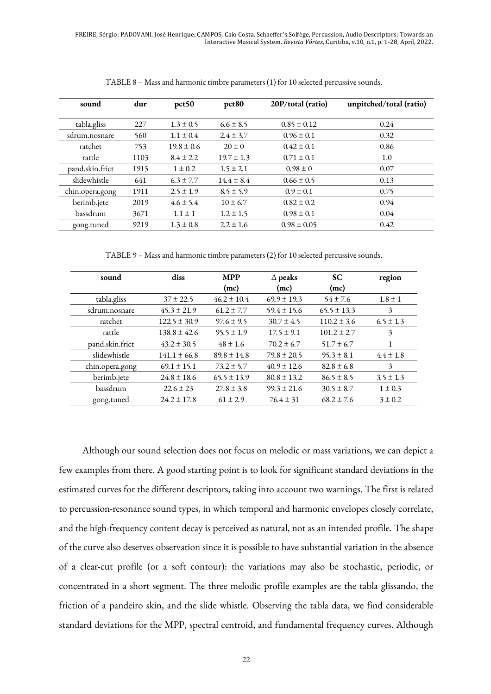FREIRE, Sérgio; PADOVANI, José Henrique; CAMPOS, Caio Costa. Schaeffer's Solfège, Percussion, Audio Descriptors: Towards an Interactive Musical System. *Revista Vórtex*, Curitiba, v.10, n.1, p. 1-28, April, 2022.

| sound           | dur  | pct50          | pct <sub>80</sub> | 20P/total (ratio) | unpitched/total (ratio) |
|-----------------|------|----------------|-------------------|-------------------|-------------------------|
| tabla.gliss     | 227  | $1.3 \pm 0.5$  | $6.6 \pm 8.5$     | $0.85 \pm 0.12$   | 0.24                    |
| sdrum.nosnare   | 560  | $1.1 \pm 0.4$  | $2.4 \pm 3.7$     | $0.96 \pm 0.1$    | 0.32                    |
| ratchet         | 753  | $19.8 \pm 0.6$ | $20 \pm 0$        | $0.42 \pm 0.1$    | 0.86                    |
| rattle          | 1103 | $8.4 \pm 2.2$  | $19.7 \pm 1.3$    | $0.71 \pm 0.1$    | 1.0                     |
| pand.skin.frict | 1915 | $1 \pm 0.2$    | $1.5 \pm 2.1$     | $0.98 \pm 0$      | 0.07                    |
| slidewhistle    | 641  | $6.3 \pm 7.7$  | $14.4 \pm 8.4$    | $0.66 \pm 0.5$    | 0.13                    |
| chin.opera.gong | 1911 | $2.5 \pm 1.9$  | $8.5 \pm 5.9$     | $0.9 \pm 0.1$     | 0.75                    |
| berimb.jete     | 2019 | $4.6 \pm 5.4$  | $10 \pm 6.7$      | $0.82 \pm 0.2$    | 0.94                    |
| bassdrum        | 3671 | $1.1 \pm 1$    | $1.2 \pm 1.5$     | $0.98 \pm 0.1$    | 0.04                    |
| gong.tuned      | 9219 | $1.3 \pm 0.8$  | $2.2 \pm 1.6$     | $0.98 \pm 0.05$   | 0.42                    |

TABLE 8 – Mass and harmonic timbre parameters (1) for 10 selected percussive sounds.

TABLE 9 – Mass and harmonic timbre parameters (2) for 10 selected percussive sounds.

| sound           | diss             | <b>MPP</b>      | $\Delta$ peaks  | <b>SC</b>       | region        |
|-----------------|------------------|-----------------|-----------------|-----------------|---------------|
|                 |                  | (mc)            | (mc)            | (mc)            |               |
| tabla.gliss     | $37 \pm 22.5$    | $46.2 \pm 10.4$ | $69.9 \pm 19.3$ | $54 \pm 7.6$    | $1.8 \pm 1$   |
| sdrum.nosnare   | $45.3 \pm 21.9$  | $61.2 \pm 7.7$  | $59.4 \pm 15.6$ | $65.5 \pm 13.3$ | 3             |
| ratchet         | $122.5 \pm 30.9$ | $97.6 \pm 9.5$  | $30.7 \pm 4.5$  | $110.2 \pm 3.6$ | $6.5 \pm 1.3$ |
| rattle          | $138.8 \pm 42.6$ | $95.5 \pm 1.9$  | $17.5 \pm 9.1$  | $101.2 \pm 2.7$ | 3             |
| pand.skin.frict | $43.2 \pm 30.5$  | $48 \pm 1.6$    | $70.2 \pm 6.7$  | $51.7 \pm 6.7$  | 1             |
| slidewhistle    | $141.1 \pm 66.8$ | $89.8 \pm 14.8$ | $79.8 \pm 20.5$ | $95.3 \pm 8.1$  | $4.4 \pm 1.8$ |
| chin.opera.gong | $69.1 \pm 15.1$  | $73.2 \pm 5.7$  | $40.9 \pm 12.6$ | $82.8 \pm 6.8$  | 3             |
| berimb.jete     | $24.8 \pm 18.6$  | $65.5 \pm 13.9$ | $80.8 \pm 13.2$ | $86.5 \pm 8.5$  | $3.5 \pm 1.3$ |
| bassdrum        | $22.6 \pm 23$    | $27.8 \pm 3.8$  | $99.3 \pm 21.6$ | $30.5 \pm 8.7$  | $1 \pm 0.3$   |
| gong.tuned      | $24.2 \pm 17.8$  | $61 \pm 2.9$    | $76.4 \pm 31$   | $68.2 \pm 7.6$  | $3 \pm 0.2$   |

Although our sound selection does not focus on melodic or mass variations, we can depict a few examples from there. A good starting point is to look for significant standard deviations in the estimated curves for the different descriptors, taking into account two warnings. The first is related to percussion-resonance sound types, in which temporal and harmonic envelopes closely correlate, and the high-frequency content decay is perceived as natural, not as an intended profile. The shape of the curve also deserves observation since it is possible to have substantial variation in the absence of a clear-cut profile (or a soft contour): the variations may also be stochastic, periodic, or concentrated in a short segment. The three melodic profile examples are the tabla glissando, the friction of a pandeiro skin, and the slide whistle. Observing the tabla data, we find considerable standard deviations for the MPP, spectral centroid, and fundamental frequency curves. Although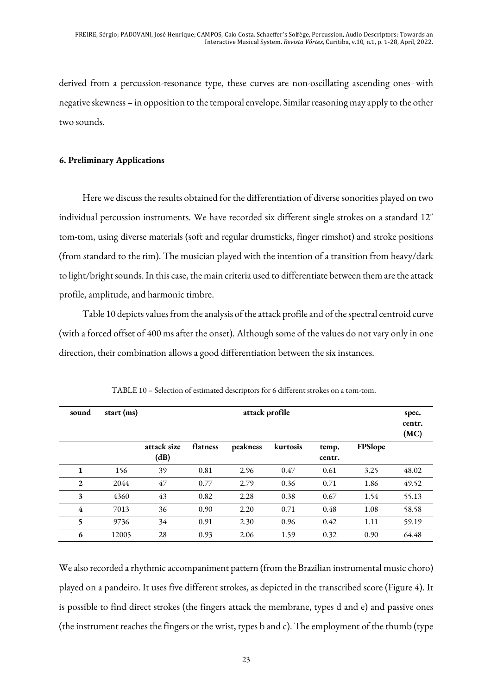derived from a percussion-resonance type, these curves are non-oscillating ascending ones–with negative skewness – in opposition to the temporal envelope. Similar reasoning may apply to the other two sounds.

#### **6. Preliminary Applications**

Here we discuss the results obtained for the differentiation of diverse sonorities played on two individual percussion instruments. We have recorded six different single strokes on a standard 12" tom-tom, using diverse materials (soft and regular drumsticks, finger rimshot) and stroke positions (from standard to the rim). The musician played with the intention of a transition from heavy/dark to light/bright sounds. In this case, the main criteria used to differentiate between them are the attack profile, amplitude, and harmonic timbre.

Table 10 depicts values from the analysis of the attack profile and of the spectral centroid curve (with a forced offset of 400 ms after the onset). Although some of the values do not vary only in one direction, their combination allows a good differentiation between the six instances.

| sound        | attack profile<br>start (ms) |                     |          |          |          |                 |         |       |  |
|--------------|------------------------------|---------------------|----------|----------|----------|-----------------|---------|-------|--|
|              |                              | attack size<br>(dB) | flatness | peakness | kurtosis | temp.<br>centr. | FPSlope |       |  |
| 1            | 156                          | 39                  | 0.81     | 2.96     | 0.47     | 0.61            | 3.25    | 48.02 |  |
| $\mathbf{2}$ | 2044                         | 47                  | 0.77     | 2.79     | 0.36     | 0.71            | 1.86    | 49.52 |  |
| 3            | 4360                         | 43                  | 0.82     | 2.28     | 0.38     | 0.67            | 1.54    | 55.13 |  |
| 4            | 7013                         | 36                  | 0.90     | 2.20     | 0.71     | 0.48            | 1.08    | 58.58 |  |
| 5            | 9736                         | 34                  | 0.91     | 2.30     | 0.96     | 0.42            | 1.11    | 59.19 |  |
| 6            | 12005                        | 28                  | 0.93     | 2.06     | 1.59     | 0.32            | 0.90    | 64.48 |  |

TABLE 10 – Selection of estimated descriptors for 6 different strokes on a tom-tom.

We also recorded a rhythmic accompaniment pattern (from the Brazilian instrumental music choro) played on a pandeiro. It uses five different strokes, as depicted in the transcribed score (Figure 4). It is possible to find direct strokes (the fingers attack the membrane, types d and e) and passive ones (the instrument reaches the fingers or the wrist, types b and c). The employment of the thumb (type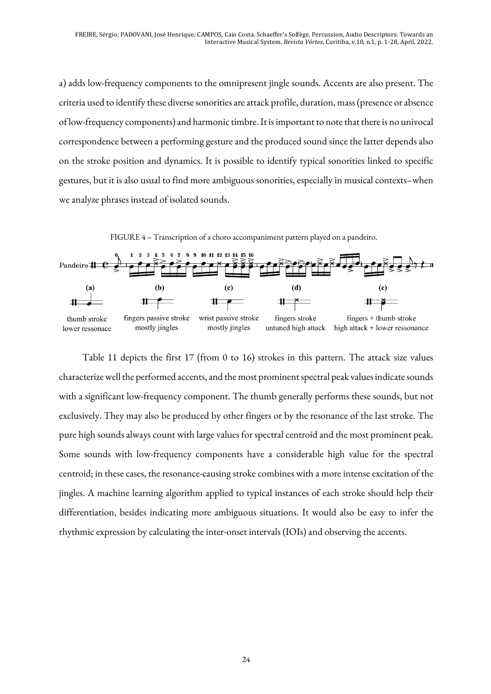a) adds low-frequency components to the omnipresent jingle sounds. Accents are also present. The criteria used to identify these diverse sonorities are attack profile, duration, mass (presence or absence of low-frequency components) and harmonic timbre. It is important to note that there is no univocal correspondence between a performing gesture and the produced sound since the latter depends also on the stroke position and dynamics. It is possible to identify typical sonorities linked to specific gestures, but it is also usual to find more ambiguous sonorities, especially in musical contexts–when we analyze phrases instead of isolated sounds.



Table 11 depicts the first 17 (from 0 to 16) strokes in this pattern. The attack size values characterize well the performed accents, and the most prominent spectral peak values indicate sounds with a significant low-frequency component. The thumb generally performs these sounds, but not exclusively. They may also be produced by other fingers or by the resonance of the last stroke. The pure high sounds always count with large values for spectral centroid and the most prominent peak. Some sounds with low-frequency components have a considerable high value for the spectral centroid; in these cases, the resonance-causing stroke combines with a more intense excitation of the jingles. A machine learning algorithm applied to typical instances of each stroke should help their differentiation, besides indicating more ambiguous situations. It would also be easy to infer the rhythmic expression by calculating the inter-onset intervals (IOIs) and observing the accents.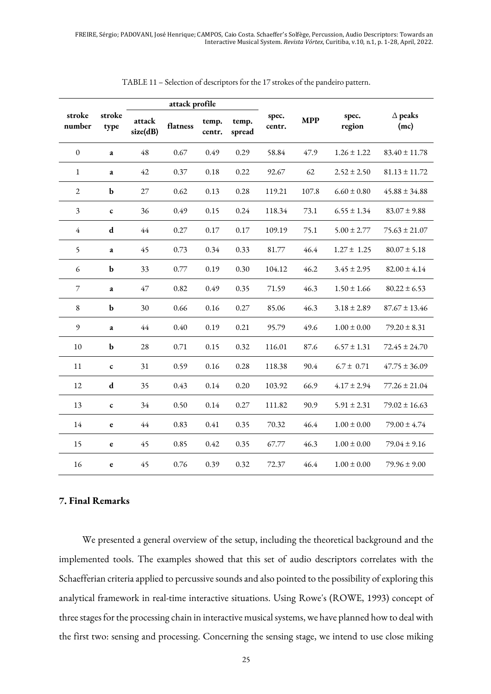|                  |                |                    | attack profile |                 |                 |                 |            |                 |                        |
|------------------|----------------|--------------------|----------------|-----------------|-----------------|-----------------|------------|-----------------|------------------------|
| stroke<br>number | stroke<br>type | attack<br>size(dB) | flatness       | temp.<br>centr. | temp.<br>spread | spec.<br>centr. | <b>MPP</b> | spec.<br>region | $\Delta$ peaks<br>(mc) |
| $\boldsymbol{0}$ | a              | 48                 | 0.67           | 0.49            | 0.29            | 58.84           | 47.9       | $1.26 \pm 1.22$ | $83.40 \pm 11.78$      |
| 1                | a              | 42                 | 0.37           | 0.18            | 0.22            | 92.67           | 62         | $2.52 \pm 2.50$ | $81.13 \pm 11.72$      |
| $\overline{2}$   | $\mathbf b$    | 27                 | 0.62           | 0.13            | 0.28            | 119.21          | 107.8      | $6.60 \pm 0.80$ | $45.88 \pm 34.88$      |
| 3                | $\mathbf c$    | 36                 | 0.49           | 0.15            | 0.24            | 118.34          | 73.1       | $6.55 \pm 1.34$ | $83.07 \pm 9.88$       |
| $\overline{4}$   | ${\bf d}$      | 44                 | 0.27           | 0.17            | 0.17            | 109.19          | 75.1       | $5.00 \pm 2.77$ | $75.63 \pm 21.07$      |
| 5                | a              | 45                 | 0.73           | 0.34            | 0.33            | 81.77           | 46.4       | $1.27 \pm 1.25$ | $80.07 \pm 5.18$       |
| 6                | $\mathbf b$    | 33                 | 0.77           | 0.19            | 0.30            | 104.12          | 46.2       | $3.45 \pm 2.95$ | $82.00 \pm 4.14$       |
| 7                | a              | 47                 | 0.82           | 0.49            | 0.35            | 71.59           | 46.3       | $1.50 \pm 1.66$ | $80.22 \pm 6.53$       |
| $\,$ 8 $\,$      | $\mathbf b$    | 30                 | 0.66           | 0.16            | 0.27            | 85.06           | 46.3       | $3.18 \pm 2.89$ | $87.67 \pm 13.46$      |
| 9                | a              | 44                 | 0.40           | 0.19            | 0.21            | 95.79           | 49.6       | $1.00 \pm 0.00$ | $79.20 \pm 8.31$       |
| 10               | $\mathbf b$    | 28                 | 0.71           | 0.15            | 0.32            | 116.01          | 87.6       | $6.57 \pm 1.31$ | $72.45 \pm 24.70$      |
| 11               | C              | 31                 | 0.59           | 0.16            | 0.28            | 118.38          | 90.4       | $6.7 \pm 0.71$  | $47.75 \pm 36.09$      |
| 12               | d              | 35                 | 0.43           | 0.14            | 0.20            | 103.92          | 66.9       | $4.17 \pm 2.94$ | $77.26 \pm 21.04$      |
| 13               | $\mathbf c$    | 34                 | 0.50           | 0.14            | 0.27            | 111.82          | 90.9       | $5.91 \pm 2.31$ | $79.02 \pm 16.63$      |
| 14               | $\mathbf e$    | 44                 | 0.83           | 0.41            | 0.35            | 70.32           | 46.4       | $1.00 \pm 0.00$ | $79.00 \pm 4.74$       |
| 15               | $\mathbf e$    | 45                 | 0.85           | 0.42            | 0.35            | 67.77           | 46.3       | $1.00 \pm 0.00$ | $79.04 \pm 9.16$       |
| 16               | e              | 45                 | 0.76           | 0.39            | 0.32            | 72.37           | 46.4       | $1.00 \pm 0.00$ | $79.96 \pm 9.00$       |

TABLE 11 – Selection of descriptors for the 17 strokes of the pandeiro pattern.

#### **7. Final Remarks**

We presented a general overview of the setup, including the theoretical background and the implemented tools. The examples showed that this set of audio descriptors correlates with the Schaefferian criteria applied to percussive sounds and also pointed to the possibility of exploring this analytical framework in real-time interactive situations. Using Rowe's (ROWE, 1993) concept of three stages for the processing chain in interactive musical systems, we have planned how to deal with the first two: sensing and processing. Concerning the sensing stage, we intend to use close miking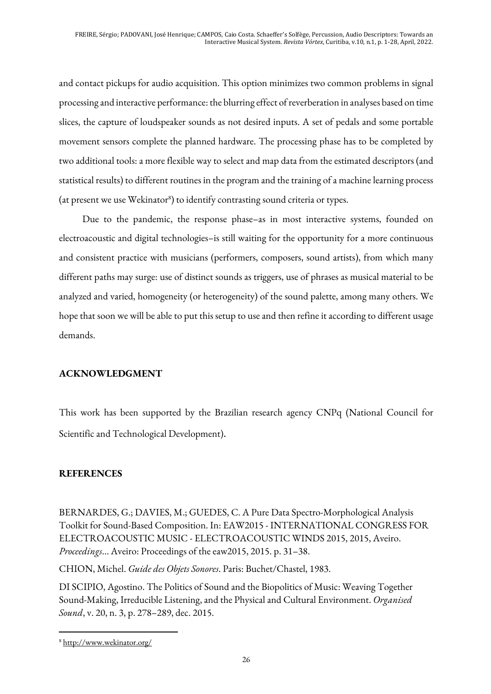and contact pickups for audio acquisition. This option minimizes two common problems in signal processing and interactive performance: the blurring effect of reverberation in analyses based on time slices, the capture of loudspeaker sounds as not desired inputs. A set of pedals and some portable movement sensors complete the planned hardware. The processing phase has to be completed by two additional tools: a more flexible way to select and map data from the estimated descriptors (and statistical results) to different routines in the program and the training of a machine learning process (at present we use Wekinator<sup>8</sup>) to identify contrasting sound criteria or types.

Due to the pandemic, the response phase–as in most interactive systems, founded on electroacoustic and digital technologies–is still waiting for the opportunity for a more continuous and consistent practice with musicians (performers, composers, sound artists), from which many different paths may surge: use of distinct sounds as triggers, use of phrases as musical material to be analyzed and varied, homogeneity (or heterogeneity) of the sound palette, among many others. We hope that soon we will be able to put this setup to use and then refine it according to different usage demands.

# **ACKNOWLEDGMENT**

This work has been supported by the Brazilian research agency CNPq (National Council for Scientific and Technological Development).

# **REFERENCES**

BERNARDES, G.; DAVIES, M.; GUEDES, C. A Pure Data Spectro-Morphological Analysis Toolkit for Sound-Based Composition. In: EAW2015 - INTERNATIONAL CONGRESS FOR ELECTROACOUSTIC MUSIC - ELECTROACOUSTIC WINDS 2015, 2015, Aveiro. *Proceedings*... Aveiro: Proceedings of the eaw2015, 2015. p. 31–38.

CHION, Michel. *Guide des Objets Sonores*. Paris: Buchet/Chastel, 1983.

DI SCIPIO, Agostino. The Politics of Sound and the Biopolitics of Music: Weaving Together Sound-Making, Irreducible Listening, and the Physical and Cultural Environment. *Organised Sound*, v. 20, n. 3, p. 278–289, dec. 2015.

<sup>8</sup> http://www.wekinator.org/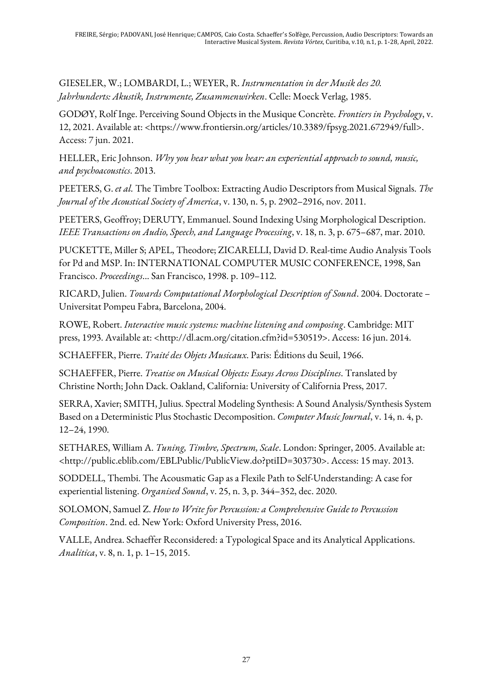GIESELER, W.; LOMBARDI, L.; WEYER, R. *Instrumentation in der Musik des 20. Jahrhunderts: Akustik, Instrumente, Zusammenwirken*. Celle: Moeck Verlag, 1985.

GODØY, Rolf Inge. Perceiving Sound Objects in the Musique Concrète. *Frontiers in Psychology*, v. 12, 2021. Available at: <https://www.frontiersin.org/articles/10.3389/fpsyg.2021.672949/full>. Access: 7 jun. 2021.

HELLER, Eric Johnson. *Why you hear what you hear: an experiential approach to sound, music, and psychoacoustics*. 2013.

PEETERS, G. *et al.* The Timbre Toolbox: Extracting Audio Descriptors from Musical Signals. *The Journal of the Acoustical Society of America*, v. 130, n. 5, p. 2902–2916, nov. 2011.

PEETERS, Geoffroy; DERUTY, Emmanuel. Sound Indexing Using Morphological Description. *IEEE Transactions on Audio, Speech, and Language Processing*, v. 18, n. 3, p. 675–687, mar. 2010.

PUCKETTE, Miller S; APEL, Theodore; ZICARELLI, David D. Real-time Audio Analysis Tools for Pd and MSP. In: INTERNATIONAL COMPUTER MUSIC CONFERENCE, 1998, San Francisco. *Proceedings*... San Francisco, 1998. p. 109–112.

RICARD, Julien. *Towards Computational Morphological Description of Sound*. 2004. Doctorate – Universitat Pompeu Fabra, Barcelona, 2004.

ROWE, Robert. *Interactive music systems: machine listening and composing*. Cambridge: MIT press, 1993. Available at: <http://dl.acm.org/citation.cfm?id=530519>. Access: 16 jun. 2014.

SCHAEFFER, Pierre. *Traité des Objets Musicaux*. Paris: Éditions du Seuil, 1966.

SCHAEFFER, Pierre. *Treatise on Musical Objects: Essays Across Disciplines*. Translated by Christine North; John Dack. Oakland, California: University of California Press, 2017.

SERRA, Xavier; SMITH, Julius. Spectral Modeling Synthesis: A Sound Analysis/Synthesis System Based on a Deterministic Plus Stochastic Decomposition. *Computer Music Journal*, v. 14, n. 4, p. 12–24, 1990.

SETHARES, William A. *Tuning, Timbre, Spectrum, Scale*. London: Springer, 2005. Available at: <http://public.eblib.com/EBLPublic/PublicView.do?ptiID=303730>. Access: 15 may. 2013.

SODDELL, Thembi. The Acousmatic Gap as a Flexile Path to Self-Understanding: A case for experiential listening. *Organised Sound*, v. 25, n. 3, p. 344–352, dec. 2020.

SOLOMON, Samuel Z. *How to Write for Percussion: a Comprehensive Guide to Percussion Composition*. 2nd. ed. New York: Oxford University Press, 2016.

VALLE, Andrea. Schaeffer Reconsidered: a Typological Space and its Analytical Applications. *Analitica*, v. 8, n. 1, p. 1–15, 2015.